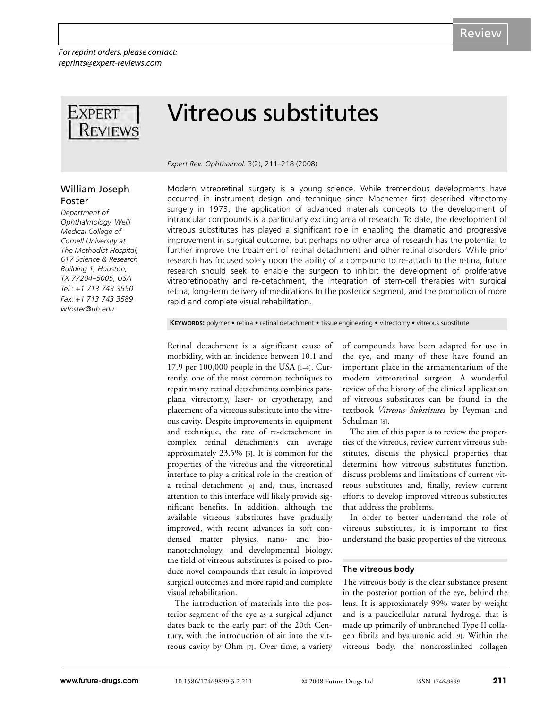*For reprint orders, please contact: reprints@expert-reviews.com*



# Vitreous substitutes

*Expert Rev. Ophthalmol.* 3(2), 211–218 (2008)

# William Joseph Foster

*Department of Ophthalmology, Weill Medical College of Cornell University at The Methodist Hospital, 617 Science & Research Building 1, Houston, TX 77204–5005, USA Tel.: +1 713 743 3550 Fax: +1 713 743 3589 wfoster@uh.edu*

Modern vitreoretinal surgery is a young science. While tremendous developments have occurred in instrument design and technique since Machemer first described vitrectomy surgery in 1973, the application of advanced materials concepts to the development of intraocular compounds is a particularly exciting area of research. To date, the development of vitreous substitutes has played a significant role in enabling the dramatic and progressive improvement in surgical outcome, but perhaps no other area of research has the potential to further improve the treatment of retinal detachment and other retinal disorders. While prior research has focused solely upon the ability of a compound to re-attach to the retina, future research should seek to enable the surgeon to inhibit the development of proliferative vitreoretinopathy and re-detachment, the integration of stem-cell therapies with surgical retina, long-term delivery of medications to the posterior segment, and the promotion of more rapid and complete visual rehabilitation.

**KEYWORDS:** polymer • retina • retinal detachment • tissue engineering • vitrectomy • vitreous substitute

Retinal detachment is a significant cause of morbidity, with an incidence between 10.1 and 17.9 per 100,000 people in the USA [1–4]. Currently, one of the most common techniques to repair many retinal detachments combines parsplana vitrectomy, laser- or cryotherapy, and placement of a vitreous substitute into the vitreous cavity. Despite improvements in equipment and technique, the rate of re-detachment in complex retinal detachments can average approximately 23.5% [5]. It is common for the properties of the vitreous and the vitreoretinal interface to play a critical role in the creation of a retinal detachment [6] and, thus, increased attention to this interface will likely provide significant benefits. In addition, although the available vitreous substitutes have gradually improved, with recent advances in soft condensed matter physics, nano- and bionanotechnology, and developmental biology, the field of vitreous substitutes is poised to produce novel compounds that result in improved surgical outcomes and more rapid and complete visual rehabilitation.

The introduction of materials into the posterior segment of the eye as a surgical adjunct dates back to the early part of the 20th Century, with the introduction of air into the vitreous cavity by Ohm [7]. Over time, a variety of compounds have been adapted for use in the eye, and many of these have found an important place in the armamentarium of the modern vitreoretinal surgeon. A wonderful review of the history of the clinical application of vitreous substitutes can be found in the textbook *Vitreous Substitutes* by Peyman and Schulman [8].

The aim of this paper is to review the properties of the vitreous, review current vitreous substitutes, discuss the physical properties that determine how vitreous substitutes function, discuss problems and limitations of current vitreous substitutes and, finally, review current efforts to develop improved vitreous substitutes that address the problems.

In order to better understand the role of vitreous substitutes, it is important to first understand the basic properties of the vitreous.

#### **The vitreous body**

The vitreous body is the clear substance present in the posterior portion of the eye, behind the lens. It is approximately 99% water by weight and is a paucicellular natural hydrogel that is made up primarily of unbranched Type II collagen fibrils and hyaluronic acid [9]. Within the vitreous body, the noncrosslinked collagen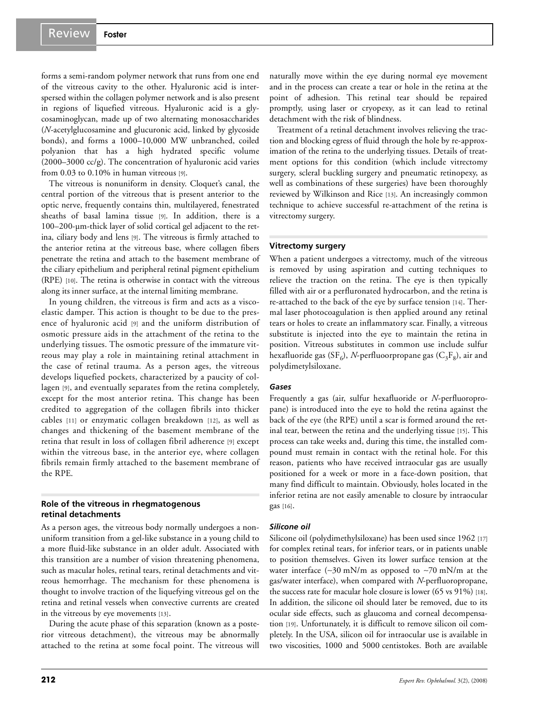forms a semi-random polymer network that runs from one end of the vitreous cavity to the other. Hyaluronic acid is interspersed within the collagen polymer network and is also present in regions of liquefied vitreous. Hyaluronic acid is a glycosaminoglycan, made up of two alternating monosaccharides (*N*-acetylglucosamine and glucuronic acid, linked by glycoside bonds), and forms a 1000–10,000 MW unbranched, coiled polyanion that has a high hydrated specific volume (2000–3000 cc/g). The concentration of hyaluronic acid varies from 0.03 to 0.10% in human vitreous [9].

The vitreous is nonuniform in density. Cloquet's canal, the central portion of the vitreous that is present anterior to the optic nerve, frequently contains thin, multilayered, fenestrated sheaths of basal lamina tissue [9]. In addition, there is a 100–200-µm-thick layer of solid cortical gel adjacent to the retina, ciliary body and lens [9]. The vitreous is firmly attached to the anterior retina at the vitreous base, where collagen fibers penetrate the retina and attach to the basement membrane of the ciliary epithelium and peripheral retinal pigment epithelium (RPE) [10]. The retina is otherwise in contact with the vitreous along its inner surface, at the internal limiting membrane.

In young children, the vitreous is firm and acts as a viscoelastic damper. This action is thought to be due to the presence of hyaluronic acid [9] and the uniform distribution of osmotic pressure aids in the attachment of the retina to the underlying tissues. The osmotic pressure of the immature vitreous may play a role in maintaining retinal attachment in the case of retinal trauma. As a person ages, the vitreous develops liquefied pockets, characterized by a paucity of collagen [9], and eventually separates from the retina completely, except for the most anterior retina. This change has been credited to aggregation of the collagen fibrils into thicker cables [11] or enzymatic collagen breakdown [12], as well as changes and thickening of the basement membrane of the retina that result in loss of collagen fibril adherence [9] except within the vitreous base, in the anterior eye, where collagen fibrils remain firmly attached to the basement membrane of the RPE.

#### **Role of the vitreous in rhegmatogenous retinal detachments**

As a person ages, the vitreous body normally undergoes a nonuniform transition from a gel-like substance in a young child to a more fluid-like substance in an older adult. Associated with this transition are a number of vision threatening phenomena, such as macular holes, retinal tears, retinal detachments and vitreous hemorrhage. The mechanism for these phenomena is thought to involve traction of the liquefying vitreous gel on the retina and retinal vessels when convective currents are created in the vitreous by eye movements [13].

During the acute phase of this separation (known as a posterior vitreous detachment), the vitreous may be abnormally attached to the retina at some focal point. The vitreous will naturally move within the eye during normal eye movement and in the process can create a tear or hole in the retina at the point of adhesion. This retinal tear should be repaired promptly, using laser or cryopexy, as it can lead to retinal detachment with the risk of blindness.

Treatment of a retinal detachment involves relieving the traction and blocking egress of fluid through the hole by re-approximation of the retina to the underlying tissues. Details of treatment options for this condition (which include vitrectomy surgery, scleral buckling surgery and pneumatic retinopexy, as well as combinations of these surgeries) have been thoroughly reviewed by Wilkinson and Rice [13]. An increasingly common technique to achieve successful re-attachment of the retina is vitrectomy surgery.

#### **Vitrectomy surgery**

When a patient undergoes a vitrectomy, much of the vitreous is removed by using aspiration and cutting techniques to relieve the traction on the retina. The eye is then typically filled with air or a perfluronated hydrocarbon, and the retina is re-attached to the back of the eye by surface tension [14]. Thermal laser photocoagulation is then applied around any retinal tears or holes to create an inflammatory scar. Finally, a vitreous substitute is injected into the eye to maintain the retina in position. Vitreous substitutes in common use include sulfur hexafluoride gas  $(SF_6)$ , *N*-perfluoorpropane gas  $(C_3F_8)$ , air and polydimetylsiloxane.

#### *Gases*

Frequently a gas (air, sulfur hexafluoride or *N*-perfluoropropane) is introduced into the eye to hold the retina against the back of the eye (the RPE) until a scar is formed around the retinal tear, between the retina and the underlying tissue [15]. This process can take weeks and, during this time, the installed compound must remain in contact with the retinal hole. For this reason, patients who have received intraocular gas are usually positioned for a week or more in a face-down position, that many find difficult to maintain. Obviously, holes located in the inferior retina are not easily amenable to closure by intraocular gas [16].

#### *Silicone oil*

Silicone oil (polydimethylsiloxane) has been used since 1962 [17] for complex retinal tears, for inferior tears, or in patients unable to position themselves. Given its lower surface tension at the water interface (∼30 mN/m as opposed to ∼70 mN/m at the gas/water interface), when compared with *N*-perfluoropropane, the success rate for macular hole closure is lower (65 vs 91%) [18]. In addition, the silicone oil should later be removed, due to its ocular side effects, such as glaucoma and corneal decompensation [19]. Unfortunately, it is difficult to remove silicon oil completely. In the USA, silicon oil for intraocular use is available in two viscosities, 1000 and 5000 centistokes. Both are available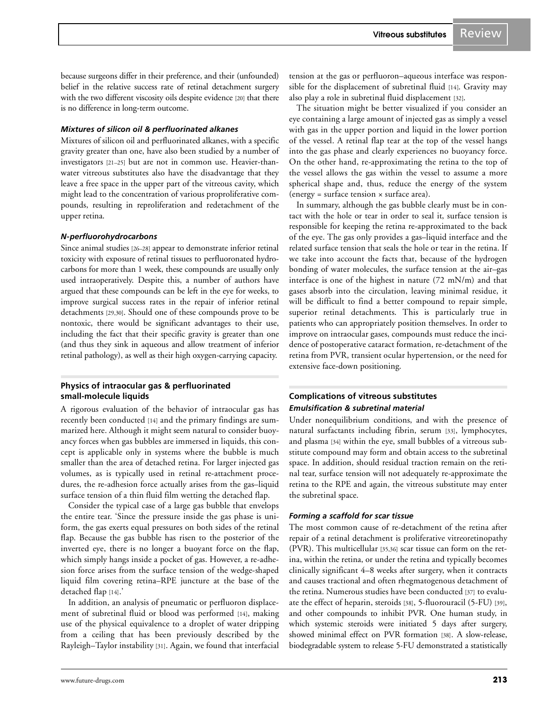because surgeons differ in their preference, and their (unfounded) belief in the relative success rate of retinal detachment surgery with the two different viscosity oils despite evidence [20] that there is no difference in long-term outcome.

# *Mixtures of silicon oil & perfluorinated alkanes*

Mixtures of silicon oil and perfluorinated alkanes, with a specific gravity greater than one, have also been studied by a number of investigators [21–25] but are not in common use. Heavier-thanwater vitreous substitutes also have the disadvantage that they leave a free space in the upper part of the vitreous cavity, which might lead to the concentration of various proproliferative compounds, resulting in reproliferation and redetachment of the upper retina.

# *N-perfluorohydrocarbons*

Since animal studies [26–28] appear to demonstrate inferior retinal toxicity with exposure of retinal tissues to perfluoronated hydrocarbons for more than 1 week, these compounds are usually only used intraoperatively. Despite this, a number of authors have argued that these compounds can be left in the eye for weeks, to improve surgical success rates in the repair of inferior retinal detachments [29,30]. Should one of these compounds prove to be nontoxic, there would be significant advantages to their use, including the fact that their specific gravity is greater than one (and thus they sink in aqueous and allow treatment of inferior retinal pathology), as well as their high oxygen-carrying capacity.

## **Physics of intraocular gas & perfluorinated small-molecule liquids**

A rigorous evaluation of the behavior of intraocular gas has recently been conducted [14] and the primary findings are summarized here. Although it might seem natural to consider buoyancy forces when gas bubbles are immersed in liquids, this concept is applicable only in systems where the bubble is much smaller than the area of detached retina. For larger injected gas volumes, as is typically used in retinal re-attachment procedures, the re-adhesion force actually arises from the gas–liquid surface tension of a thin fluid film wetting the detached flap.

Consider the typical case of a large gas bubble that envelops the entire tear. 'Since the pressure inside the gas phase is uniform, the gas exerts equal pressures on both sides of the retinal flap. Because the gas bubble has risen to the posterior of the inverted eye, there is no longer a buoyant force on the flap, which simply hangs inside a pocket of gas. However, a re-adhesion force arises from the surface tension of the wedge-shaped liquid film covering retina–RPE juncture at the base of the detached flap [14].'

In addition, an analysis of pneumatic or perfluoron displacement of subretinal fluid or blood was performed [14], making use of the physical equivalence to a droplet of water dripping from a ceiling that has been previously described by the Rayleigh–Taylor instability [31]. Again, we found that interfacial

tension at the gas or perfluoron–aqueous interface was responsible for the displacement of subretinal fluid [14]. Gravity may also play a role in subretinal fluid displacement [32].

The situation might be better visualized if you consider an eye containing a large amount of injected gas as simply a vessel with gas in the upper portion and liquid in the lower portion of the vessel. A retinal flap tear at the top of the vessel hangs into the gas phase and clearly experiences no buoyancy force. On the other hand, re-approximating the retina to the top of the vessel allows the gas within the vessel to assume a more spherical shape and, thus, reduce the energy of the system  $(energy = surface tension × surface area).$ 

In summary, although the gas bubble clearly must be in contact with the hole or tear in order to seal it, surface tension is responsible for keeping the retina re-approximated to the back of the eye. The gas only provides a gas–liquid interface and the related surface tension that seals the hole or tear in the retina. If we take into account the facts that, because of the hydrogen bonding of water molecules, the surface tension at the air–gas interface is one of the highest in nature (72 mN/m) and that gases absorb into the circulation, leaving minimal residue, it will be difficult to find a better compound to repair simple, superior retinal detachments. This is particularly true in patients who can appropriately position themselves. In order to improve on intraocular gases, compounds must reduce the incidence of postoperative cataract formation, re-detachment of the retina from PVR, transient ocular hypertension, or the need for extensive face-down positioning.

# **Complications of vitreous substitutes** *Emulsification & subretinal material*

Under nonequilibrium conditions, and with the presence of natural surfactants including fibrin, serum [33], lymphocytes, and plasma [34] within the eye, small bubbles of a vitreous substitute compound may form and obtain access to the subretinal space. In addition, should residual traction remain on the retinal tear, surface tension will not adequately re-approximate the retina to the RPE and again, the vitreous substitute may enter the subretinal space.

# *Forming a scaffold for scar tissue*

The most common cause of re-detachment of the retina after repair of a retinal detachment is proliferative vitreoretinopathy (PVR). This multicellular [35,36] scar tissue can form on the retina, within the retina, or under the retina and typically becomes clinically significant 4–8 weeks after surgery, when it contracts and causes tractional and often rhegmatogenous detachment of the retina. Numerous studies have been conducted [37] to evaluate the effect of heparin, steroids [38], 5-fluorouracil (5-FU) [39], and other compounds to inhibit PVR. One human study, in which systemic steroids were initiated 5 days after surgery, showed minimal effect on PVR formation [38]. A slow-release, biodegradable system to release 5-FU demonstrated a statistically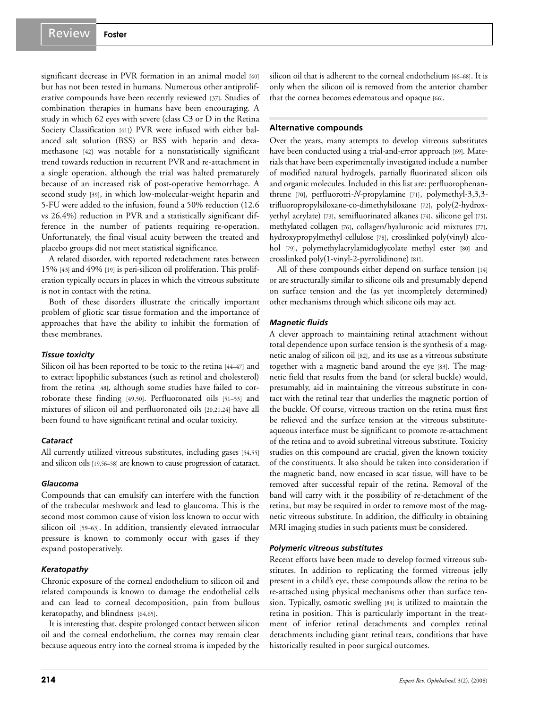significant decrease in PVR formation in an animal model [40] but has not been tested in humans. Numerous other antiproliferative compounds have been recently reviewed [37]. Studies of combination therapies in humans have been encouraging. A study in which 62 eyes with severe (class C3 or D in the Retina Society Classification [41]) PVR were infused with either balanced salt solution (BSS) or BSS with heparin and dexamethasone [42] was notable for a nonstatistically significant trend towards reduction in recurrent PVR and re-attachment in a single operation, although the trial was halted prematurely because of an increased risk of post-operative hemorrhage. A second study [39], in which low-molecular-weight heparin and 5-FU were added to the infusion, found a 50% reduction (12.6 vs 26.4%) reduction in PVR and a statistically significant difference in the number of patients requiring re-operation. Unfortunately, the final visual acuity between the treated and placebo groups did not meet statistical significance.

A related disorder, with reported redetachment rates between 15% [43] and 49% [19] is peri-silicon oil proliferation. This proliferation typically occurs in places in which the vitreous substitute is not in contact with the retina.

Both of these disorders illustrate the critically important problem of gliotic scar tissue formation and the importance of approaches that have the ability to inhibit the formation of these membranes.

#### *Tissue toxicity*

Silicon oil has been reported to be toxic to the retina [44–47] and to extract lipophilic substances (such as retinol and cholesterol) from the retina [48], although some studies have failed to corroborate these finding [49,50]. Perfluoronated oils [51–53] and mixtures of silicon oil and perfluoronated oils [20,21,24] have all been found to have significant retinal and ocular toxicity.

## *Cataract*

All currently utilized vitreous substitutes, including gases [54,55] and silicon oils [19,56–58] are known to cause progression of cataract.

#### *Glaucoma*

Compounds that can emulsify can interfere with the function of the trabecular meshwork and lead to glaucoma. This is the second most common cause of vision loss known to occur with silicon oil [59–63]. In addition, transiently elevated intraocular pressure is known to commonly occur with gases if they expand postoperatively.

## *Keratopathy*

Chronic exposure of the corneal endothelium to silicon oil and related compounds is known to damage the endothelial cells and can lead to corneal decomposition, pain from bullous keratopathy, and blindness [64,65].

It is interesting that, despite prolonged contact between silicon oil and the corneal endothelium, the cornea may remain clear because aqueous entry into the corneal stroma is impeded by the silicon oil that is adherent to the corneal endothelium [66–68]. It is only when the silicon oil is removed from the anterior chamber that the cornea becomes edematous and opaque [66].

#### **Alternative compounds**

Over the years, many attempts to develop vitreous substitutes have been conducted using a trial-and-error approach [69]. Materials that have been experimentally investigated include a number of modified natural hydrogels, partially fluorinated silicon oils and organic molecules. Included in this list are: perfluorophenanthrene [70], perfluorotri-*N*-propylamine [71], polymethyl-3,3,3 trifluoropropylsiloxane-co-dimethylsiloxane [72], poly(2-hydroxyethyl acrylate) [73], semifluorinated alkanes [74], silicone gel [75], methylated collagen [76], collagen/hyaluronic acid mixtures [77], hydroxypropylmethyl cellulose [78], crosslinked poly(vinyl) alcohol [79], polymethylacrylamidoglycolate methyl ester [80] and crosslinked poly(1-vinyl-2-pyrrolidinone) [81].

All of these compounds either depend on surface tension [14] or are structurally similar to silicone oils and presumably depend on surface tension and the (as yet incompletely determined) other mechanisms through which silicone oils may act.

## *Magnetic fluids*

A clever approach to maintaining retinal attachment without total dependence upon surface tension is the synthesis of a magnetic analog of silicon oil [82], and its use as a vitreous substitute together with a magnetic band around the eye [83]. The magnetic field that results from the band (or scleral buckle) would, presumably, aid in maintaining the vitreous substitute in contact with the retinal tear that underlies the magnetic portion of the buckle. Of course, vitreous traction on the retina must first be relieved and the surface tension at the vitreous substituteaqueous interface must be significant to promote re-attachment of the retina and to avoid subretinal vitreous substitute. Toxicity studies on this compound are crucial, given the known toxicity of the constituents. It also should be taken into consideration if the magnetic band, now encased in scar tissue, will have to be removed after successful repair of the retina. Removal of the band will carry with it the possibility of re-detachment of the retina, but may be required in order to remove most of the magnetic vitreous substitute. In addition, the difficulty in obtaining MRI imaging studies in such patients must be considered.

## *Polymeric vitreous substitutes*

Recent efforts have been made to develop formed vitreous substitutes. In addition to replicating the formed vitreous jelly present in a child's eye, these compounds allow the retina to be re-attached using physical mechanisms other than surface tension. Typically, osmotic swelling [84] is utilized to maintain the retina in position. This is particularly important in the treatment of inferior retinal detachments and complex retinal detachments including giant retinal tears, conditions that have historically resulted in poor surgical outcomes.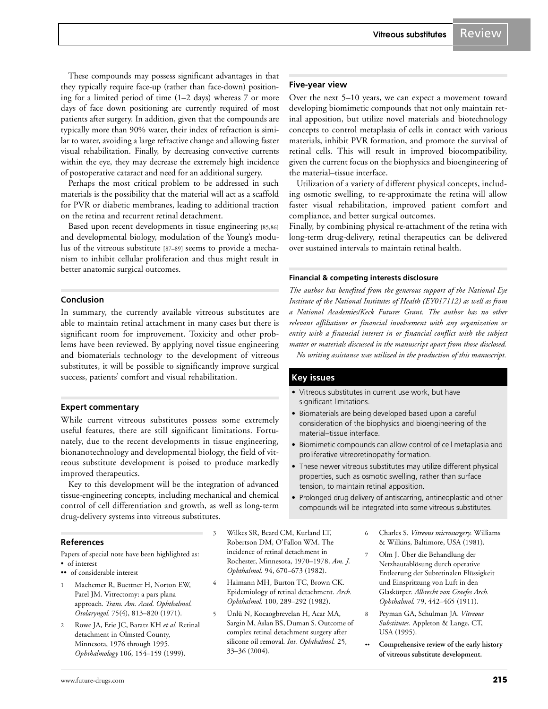These compounds may possess significant advantages in that they typically require face-up (rather than face-down) positioning for a limited period of time (1–2 days) whereas 7 or more days of face down positioning are currently required of most patients after surgery. In addition, given that the compounds are typically more than 90% water, their index of refraction is similar to water, avoiding a large refractive change and allowing faster visual rehabilitation. Finally, by decreasing convective currents within the eye, they may decrease the extremely high incidence of postoperative cataract and need for an additional surgery.

Perhaps the most critical problem to be addressed in such materials is the possibility that the material will act as a scaffold for PVR or diabetic membranes, leading to additional traction on the retina and recurrent retinal detachment.

Based upon recent developments in tissue engineering [85,86] and developmental biology, modulation of the Young's modulus of the vitreous substitute [87–89] seems to provide a mechanism to inhibit cellular proliferation and thus might result in better anatomic surgical outcomes.

#### **Conclusion**

In summary, the currently available vitreous substitutes are able to maintain retinal attachment in many cases but there is significant room for improvement. Toxicity and other problems have been reviewed. By applying novel tissue engineering and biomaterials technology to the development of vitreous substitutes, it will be possible to significantly improve surgical success, patients' comfort and visual rehabilitation.

## **Expert commentary**

While current vitreous substitutes possess some extremely useful features, there are still significant limitations. Fortunately, due to the recent developments in tissue engineering, bionanotechnology and developmental biology, the field of vitreous substitute development is poised to produce markedly improved therapeutics.

Key to this development will be the integration of advanced tissue-engineering concepts, including mechanical and chemical control of cell differentiation and growth, as well as long-term drug-delivery systems into vitreous substitutes.

## **References**

Papers of special note have been highlighted as: • of interest

- •• of considerable interest
- Machemer R, Buettner H, Norton EW, Parel JM. Vitrectomy: a pars plana approach. *Trans. Am. Acad. Ophthalmol. Otolaryngol.* 75(4), 813–820 (1971).
- 2 Rowe JA, Erie JC, Baratz KH *et al.* Retinal detachment in Olmsted County, Minnesota, 1976 through 1995*. Ophthalmology* 106, 154–159 (1999).
- 3 Wilkes SR, Beard CM, Kurland LT, Robertson DM, O'Fallon WM. The incidence of retinal detachment in Rochester, Minnesota, 1970–1978. *Am. J. Ophthalmol.* 94, 670–673 (1982).
- 4 Haimann MH, Burton TC, Brown CK. Epidemiology of retinal detachment. *Arch. Ophthalmol.* 100, 289–292 (1982).
- 5 Ünlü N, Kocaogbrevelan H, Acar MA, Sargin M, Aslan BS, Duman S. Outcome of complex retinal detachment surgery after silicone oil removal. *Int. Ophthalmol.* 25, 33–36 (2004).

#### **Five-year view**

Over the next 5–10 years, we can expect a movement toward developing biomimetic compounds that not only maintain retinal apposition, but utilize novel materials and biotechnology concepts to control metaplasia of cells in contact with various materials, inhibit PVR formation, and promote the survival of retinal cells. This will result in improved biocompatibility, given the current focus on the biophysics and bioengineering of the material–tissue interface.

Utilization of a variety of different physical concepts, including osmotic swelling, to re-approximate the retina will allow faster visual rehabilitation, improved patient comfort and compliance, and better surgical outcomes.

Finally, by combining physical re-attachment of the retina with long-term drug-delivery, retinal therapeutics can be delivered over sustained intervals to maintain retinal health.

#### **Financial & competing interests disclosure**

*The author has benefited from the generous support of the National Eye Institute of the National Institutes of Health (EY017112) as well as from a National Academies/Keck Futures Grant. The author has no other relevant affiliations or financial involvement with any organization or entity with a financial interest in or financial conflict with the subject matter or materials discussed in the manuscript apart from those disclosed. No writing assistance was utilized in the production of this manuscript.*

## **Key issues**

- Vitreous substitutes in current use work, but have significant limitations.
- Biomaterials are being developed based upon a careful consideration of the biophysics and bioengineering of the material–tissue interface.
- Biomimetic compounds can allow control of cell metaplasia and proliferative vitreoretinopathy formation.
- These newer vitreous substitutes may utilize different physical properties, such as osmotic swelling, rather than surface tension, to maintain retinal apposition.
- Prolonged drug delivery of antiscarring, antineoplastic and other compounds will be integrated into some vitreous substitutes.
	- 6 Charles S. *Vitreous microsurgery*. Williams & Wilkins, Baltimore, USA (1981).
	- 7 Olm J. Über die Behandlung der Netzhautablösung durch operative Entleerung der Subretinalen Flüssigkeit und Einspritzung von Luft in den Glaskörper. *Albrecht von Graefes Arch. Ophthalmol.* 79, 442–465 (1911).
	- 8 Peyman GA, Schulman JA. *Vitreous Substitutes.* Appleton & Lange, CT, USA (1995).
	- •• **Comprehensive review of the early history of vitreous substitute development.**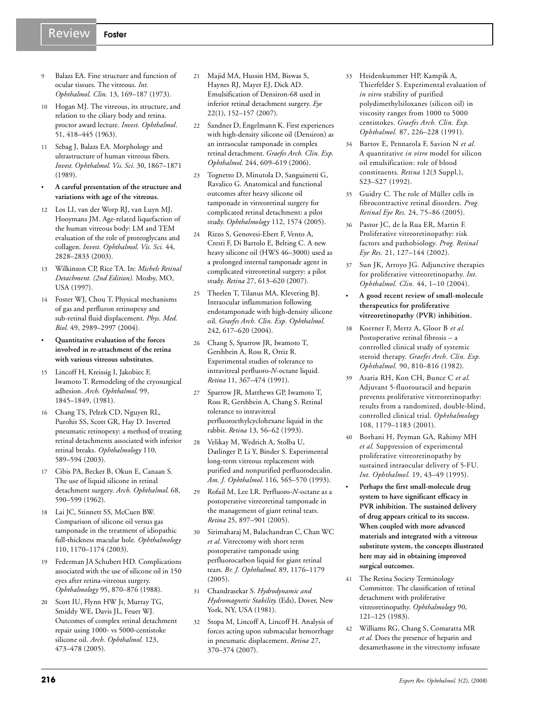## Review **Foster**

- 
- Balazs EA. Fine structure and function of ocular tissues. The vitreous. *Int. Ophthalmol. Clin.* 13, 169–187 (1973).
- 10 Hogan MJ. The vitreous, its structure, and relation to the ciliary body and retina. proctor award lecture. *Invest. Ophthalmol*. 51, 418–445 (1963).
- 11 Sebag J, Balazs EA. Morphology and ultrastructure of human vitreous fibers. *Invest. Ophthalmol. Vis. Sci.* 30, 1867–1871 (1989).
- **A careful presentation of the structure and variations with age of the vitreous.**
- 12 Los LI, van der Worp RJ, van Luyn MJ, Hooymans JM. Age-related liquefaction of the human vitreous body: LM and TEM evaluation of the role of proteoglycans and collagen. *Invest. Ophthalmol. Vis. Sci.* 44, 2828–2833 (2003).
- 13 Wilkinson CP, Rice TA. In: *Michels Retinal Detachment. (2nd Edition).* Mosby, MO, USA (1997).
- Foster WJ, Chou T. Physical mechanisms of gas and perfluron retinopexy and sub-retinal fluid displacement. *Phys. Med. Biol.* 49, 2989–2997 (2004).
- **Quantitative evaluation of the forces involved in re-attachment of the retina with various vitreous substitutes.**
- 15 Lincoff H, Kreissig I, Jakobiec F, Iwamoto T. Remodeling of the cryosurgical adhesion. *Arch. Ophthalmol.* 99, 1845–1849, (1981).
- 16 Chang TS, Pelzek CD, Nguyen RL, Purohit SS, Scott GR, Hay D. Inverted pneumatic retinopexy: a method of treating retinal detachments associated with inferior retinal breaks. *Ophthalmology* 110, 589–594 (2003).
- 17 Cibis PA, Becker B, Okun E, Canaan S. The use of liquid silicone in retinal detachment surgery. *Arch. Ophthalmol.* 68, 590–599 (1962).
- 18 Lai JC, Stinnett SS, McCuen BW. Comparison of silicone oil versus gas tamponade in the treatment of idiopathic full-thickness macular hole*. Ophthalmology* 110, 1170–1174 (2003).
- 19 Federman JA Schubert HD. Complications associated with the use of silicone oil in 150 eyes after retina-vitreous surgery. *Ophthalmology* 95, 870–876 (1988).
- 20 Scott IU, Flynn HW Jr, Murray TG, Smiddy WE, Davis JL, Feuer WJ. Outcomes of complex retinal detachment repair using 1000- vs 5000-centistoke silicone oil. *Arch. Ophthalmol.* 123, 473–478 (2005).
- 21 Majid MA, Hussin HM, Biswas S, Haynes RJ, Mayer EJ, Dick AD. Emulsification of Densiron-68 used in inferior retinal detachment surgery. *Eye* 22(1), 152–157 (2007).
- 22 Sandner D, Engelmann K. First experiences with high-density silicone oil (Densiron) as an intraocular tamponade in complex retinal detachment. *Graefes Arch. Clin. Exp. Ophthalmol.* 244, 609–619 (2006).
- 23 Tognetto D, Minutola D, Sanguinetti G, Ravalico G. Anatomical and functional outcomes after heavy silicone oil tamponade in vitreoretinal surgery for complicated retinal detachment: a pilot study. *Ophthalmology* 112, 1574 (2005).
- 24 Rizzo S, Genovesi-Ebert F, Vento A, Cresti F, Di Bartolo E, Belting C. A new heavy silicone oil (HWS 46–3000) used as a prolonged internal tamponade agent in complicated vitreoretinal surgery: a pilot study. *Retina* 27, 613–620 (2007).
- 25 Theelen T, Tilanus MA, Klevering BJ. Intraocular inflammation following endotamponade with high-density silicone oil. *Graefes Arch. Clin. Exp. Ophthalmol.* 242, 617–620 (2004).
- 26 Chang S, Sparrow JR, Iwamoto T, Gershbein A, Ross R, Ortiz R. Experimental studies of tolerance to intravitreal perfluoro-*N*-octane liquid. *Retina* 11, 367–474 (1991).
- 27 Sparrow JR, Matthews GP, Iwamoto T, Ross R, Gershbein A, Chang S. Retinal tolerance to intravitreal perfluoroethylcyclohexane liquid in the rabbit. *Retina* 13, 56–62 (1993).
- 28 Velikay M, Wedrich A, Stolba U, Datlinger P, Li Y, Binder S. Experimental long-term vitreous replacement with purified and nonpurified perfluorodecalin. *Am. J. Ophthalmol.* 116, 565–570 (1993).
- 29 Rofail M, Lee LR. Perfluoro-*N*-octane as a postoperative vitreoretinal tamponade in the management of giant retinal tears. *Retina* 25, 897–901 (2005).
- 30 Sirimaharaj M, Balachandran C, Chan WC *et al.* Vitrectomy with short term postoperative tamponade using perfluorocarbon liquid for giant retinal tears. *Br. J. Ophthalmol.* 89, 1176–1179  $(2005)$ .
- 31 Chandrasekar S. *Hydrodynamic and Hydromagnetic Stability*. (Eds), Dover, New York, NY, USA (1981).
- 32 Stopa M, Lincoff A, Lincoff H. Analysis of forces acting upon submacular hemorrhage in pneumatic displacement. *Retina* 27, 370–374 (2007).
- 33 Heidenkummer HP, Kampik A, Thierfelder S. Experimental evaluation of *in vitro* stability of purified polydimethylsiloxanes (silicon oil) in viscosity ranges from 1000 to 5000 centistokes. *Graefes Arch. Clin. Exp. Ophthalmol.* 87, 226–228 (1991).
- 34 Bartov E, Pennarola F, Savion N *et al.* A quantitative *in vitro* model for silicon oil emulsification: role of blood constituents. *Retina* 12(3 Suppl.), S23–S27 (1992).
- 35 Guidry C. The role of Müller cells in fibrocontractive retinal disorders. *Prog. Retinal Eye Res.* 24, 75–86 (2005).
- 36 Pastor JC, de la Rua ER, Martin F. Proliferative vitreoretinopathy: risk factors and pathobiology. *Prog. Retinal Eye Res.* 21, 127–144 (2002).
- 37 Sun JK, Arroyo JG. Adjunctive therapies for proliferative vitreoretinopathy. *Int. Ophthalmol. Clin.* 44, 1–10 (2004).
- **A good recent review of small-molecule therapeutics for proliferative vitreoretinopathy (PVR) inhibition.**
- 38 Koerner F, Mertz A, Gloor B *et al.* Postoperative retinal fibrosis – a controlled clinical study of systemic steroid therapy. *Graefes Arch. Clin. Exp. Ophthalmol.* 90, 810–816 (1982).
- 39 Asaria RH, Kon CH, Bunce C *et al.* Adjuvant 5-fluorouracil and heparin prevents proliferative vitreoretinopathy: results from a randomized, double-blind, controlled clinical trial. *Ophthalmology* 108, 1179–1183 (2001).
- 40 Borhani H, Peyman GA, Rahimy MH *et al.* Suppression of experimental proliferative vitreoretinopathy by sustained intraocular delivery of 5-FU. *Int. Ophthalmol.* 19, 43–49 (1995).
	- **Perhaps the first small-molecule drug system to have significant efficacy in PVR inhibition. The sustained delivery of drug appears critical to its success. When coupled with more advanced materials and integrated with a vitreous substitute system, the concepts illustrated here may aid in obtaining improved surgical outcomes.**
- The Retina Society Terminology Committee. The classification of retinal detachment with proliferative vitreoretinopathy. *Ophthalmology* 90, 121–125 (1983).
- 42 Williams RG, Chang S, Comaratta MR *et al.* Does the presence of heparin and dexamethasone in the vitrectomy infusate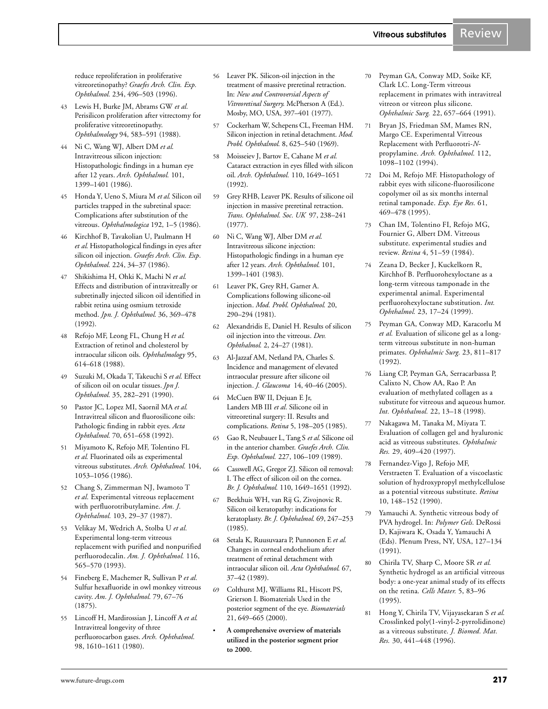reduce reproliferation in proliferative vitreoretinopathy? *Graefes Arch. Clin. Exp. Ophthalmol.* 234, 496–503 (1996).

- 43 Lewis H, Burke JM, Abrams GW *et al.* Perisilicon proliferation after vitrectomy for proliferative vitreoretinopathy. *Ophthalmology* 94, 583–591 (1988).
- 44 Ni C, Wang WJ, Albert DM *et al.* Intravitreous silicon injection: Histopathologic findings in a human eye after 12 years. *Arch. Ophthalmol.* 101, 1399–1401 (1986).
- 45 Honda Y, Ueno S, Miura M *et al.* Silicon oil particles trapped in the subretinal space: Complications after substitution of the vitreous. *Ophthalmologica* 192, 1–5 (1986).
- 46 Kirchhof B, Tavakolian U, Paulmann H *et al.* Histopathological findings in eyes after silicon oil injection. *Graefes Arch. Clin. Exp. Ophthalmol.* 224, 34–37 (1986).
- 47 Shikishima H, Ohki K, Machi N *et al.* Effects and distribution of intravitreally or subretinally injected silicon oil identified in rabbit retina using osmium tetroxide method. *Jpn. J. Ophthalmol.* 36, 369–478 (1992).
- 48 Refojo MF, Leong FL, Chung H *et al.* Extraction of retinol and cholesterol by intraocular silicon oils. *Ophthalmology* 95, 614–618 (1988).
- 49 Suzuki M, Okada T, Takeuchi S *et al.* Effect of silicon oil on ocular tissues. *Jpn J. Ophthalmol.* 35, 282–291 (1990).
- 50 Pastor JC, Lopez MI, Saornil MA *et al.* Intravitreal silicon and fluorosilicone oils: Pathologic finding in rabbit eyes. *Acta Ophthalmol.* 70, 651–658 (1992).
- 51 Miyamoto K, Refojo MF, Tolentino FL *et al.* Fluorinated oils as experimental vitreous substitutes. *Arch. Ophthalmol.* 104, 1053–1056 (1986).
- 52 Chang S, Zimmerman NJ, Iwamoto T *et al.* Experimental vitreous replacement with perfluorotributylamine. *Am. J. Ophthalmol.* 103, 29–37 (1987).
- 53 Velikay M, Wedrich A, Stolba U *et al.* Experimental long-term vitreous replacement with purified and nonpurified perfluorodecalin. *Am. J. Ophthalmol.* 116, 565–570 (1993).
- 54 Fineberg E, Machemer R, Sullivan P *et al.* Sulfur hexafluoride in owl monkey vitreous cavity. *Am. J. Ophthalmol.* 79, 67–76 (1875).
- 55 Lincoff H, Mardirossian J, Lincoff A *et al.* Intravitreal longevity of three perfluorocarbon gases. *Arch. Ophthalmol.* 98, 1610–1611 (1980).
- 56 Leaver PK. Silicon-oil injection in the treatment of massive preretinal retraction. In: *New and Controversial Aspects of Vitreoretinal Surgery*. McPherson A (Ed.). Mosby, MO, USA, 397–401 (1977).
- 57 Cockerham W, Schepens CL, Freeman HM. Silicon injection in retinal detachment. *Mod. Probl. Ophthalmol.* 8, 625–540 (1969).
- 58 Moisseiev J, Bartov E, Cahane M *et al.* Cataract extraction in eyes filled with silicon oil. *Arch. Ophthalmol.* 110, 1649–1651 (1992).
- 59 Grey RHB, Leaver PK. Results of silicone oil injection in massive preretinal retraction. *Trans. Ophthalmol. Soc. UK* 97, 238–241 (1977).
- 60 Ni C, Wang WJ, Alber DM *et al.* Intravitreous silicone injection: Histopathologic findings in a human eye after 12 years. *Arch. Ophthalmol.* 101, 1399–1401 (1983).
- 61 Leaver PK, Grey RH, Garner A. Complications following silicone-oil injection. *Mod. Probl. Ophthalmol.* 20, 290–294 (1981).
- 62 Alexandridis E, Daniel H. Results of silicon oil injection into the vitreous. *Dev. Ophthalmol.* 2, 24–27 (1981).
- 63 Al-Jazzaf AM, Netland PA, Charles S. Incidence and management of elevated intraocular pressure after silicone oil injection. *J. Glaucoma* 14, 40–46 (2005).
- 64 McCuen BW II, Dejuan E Jr, Landers MB III *et al.* Silicone oil in vitreoretinal surgery: II. Results and complications. *Retina* 5, 198–205 (1985).
- 65 Gao R, Neubauer L, Tang S *et al.* Silicone oil in the anterior chamber. *Graefes Arch. Clin. Exp. Ophthalmol.* 227, 106–109 (1989).
- 66 Casswell AG, Gregor ZJ. Silicon oil removal: I. The effect of silicon oil on the cornea. *Br. J. Ophthalmol.* 110, 1649–1651 (1992).
- 67 Beekhuis WH, van Rij G, Zivojnovic R. Silicon oil keratopathy: indications for keratoplasty. *Br. J. Ophthalmol.* 69, 247–253 (1985).
- 68 Setala K, Ruusuvaara P, Punnonen E *et al.* Changes in corneal endothelium after treatment of retinal detachment with intraocular silicon oil. *Acta Ophthalmol.* 67, 37–42 (1989).
- 69 Colthurst MJ, Williams RL, Hiscott PS, Grierson I. Biomaterials Used in the posterior segment of the eye. *Biomaterials* 21, 649–665 (2000).
- **A comprehensive overview of materials utilized in the posterior segment prior to 2000.**
- 70 Peyman GA, Conway MD, Soike KF, Clark LC. Long-Term vitreous replacement in primates with intravitreal vitreon or vitreon plus silicone. *Ophthalmic Surg.* 22, 657–664 (1991).
- 71 Bryan JS, Friedman SM, Mames RN, Margo CE. Experimental Vitreous Replacement with Perfluorotri-*N*propylamine. *Arch. Ophthalmol.* 112, 1098–1102 (1994).
- 72 Doi M, Refojo MF. Histopathology of rabbit eyes with silicone-fluorosilicone copolymer oil as six months internal retinal tamponade. *Exp. Eye Res.* 61, 469–478 (1995).
- 73 Chan IM, Tolentino FI, Refojo MG, Fournier G, Albert DM. Vitreous substitute. experimental studies and review. *Retina* 4, 51–59 (1984).
- 74 Zeana D, Becker J, Kuckelkorn R, Kirchhof B. Perfluorohexyloctane as a long-term vitreous tamponade in the experimental animal. Experimental perfluorohexyloctane substitution. *Int. Ophthalmol.* 23, 17–24 (1999).
- 75 Peyman GA, Conway MD, Karacorlu M *et al.* Evaluation of silicone gel as a longterm vitreous substitute in non-human primates. *Ophthalmic Surg.* 23, 811–817 (1992).
- 76 Liang CP, Peyman GA, Serracarbassa P, Calixto N, Chow AA, Rao P. An evaluation of methylated collagen as a substitute for vitreous and aqueous humor. *Int. Ophthalmol.* 22, 13–18 (1998).
- 77 Nakagawa M, Tanaka M, Miyata T. Evaluation of collagen gel and hyaluronic acid as vitreous substitutes. *Ophthalmic Res.* 29, 409–420 (1997).
- 78 Fernandez-Vigo J, Refojo MF, Verstraeten T. Evaluation of a viscoelastic solution of hydroxypropyl methylcellulose as a potential vitreous substitute. *Retina* 10, 148–152 (1990).
- 79 Yamauchi A. Synthetic vitreous body of PVA hydrogel. In: *Polymer Gels.* DeRossi D, Kajiwara K, Osada Y, Yamauchi A (Eds). Plenum Press, NY, USA, 127–134 (1991).
- 80 Chirila TV, Sharp C, Moore SR *et al.* Synthetic hydrogel as an artificial vitreous body: a one-year animal study of its effects on the retina. *Cells Mater.* 5, 83–96 (1995).
- 81 Hong Y, Chirila TV, Vijayasekaran S *et al.* Crosslinked poly(1-vinyl-2-pyrrolidinone) as a vitreous substitute. *J. Biomed. Mat. Res.* 30, 441–448 (1996).